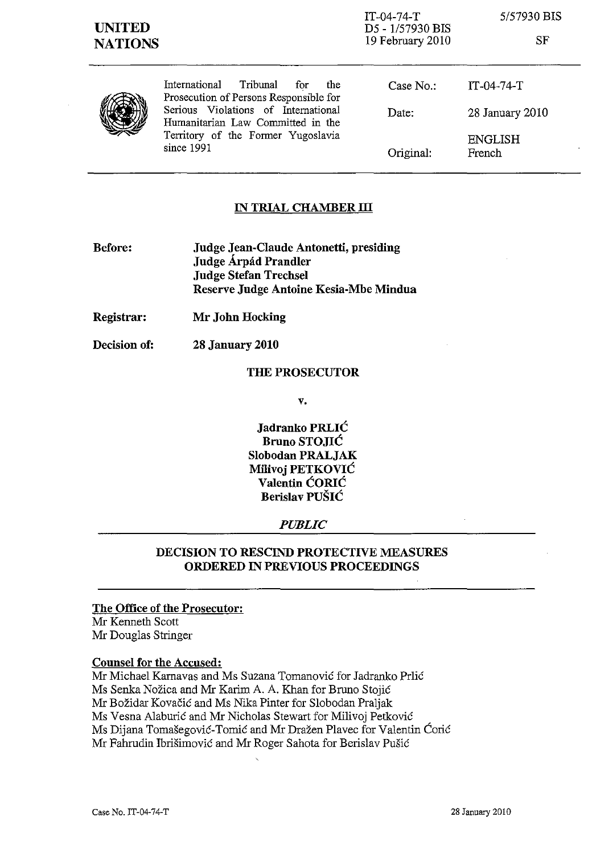*5157930* BIS

SF



International Tribunal for the Prosecution of Persons Responsible for Serious Violations of International Humanitarian Law Committed in the Territory of the Former Yugoslavia since 1991

| Case $No.$ : | $IT-04-74-T$             |
|--------------|--------------------------|
| Date:        | 28 January 2010          |
| Original:    | <b>ENGLISH</b><br>French |

# **IN TRIAL CHAMBER ill**

- **Before: Judge Jean-Claude Antonetti, presiding Judge Arpad Prandler Judge Stefan Trechsel Reserve Judge Antoine Kesia-Mbe Mindua**
- **Registrar: Mr John Hocking**
- **Decision of: 28 January 2010**

### **THE PROSECUTOR**

**v.** 

**Jadranko PRLIC Bruno STOJIC Slobodan PRALJAK MiIivoj PETKOVIC Valentin CORIC Berislav PUSIC** 

## *PUBLIC*

# **DECISION TO RESCIND PROTECTIVE MEASURES ORDERED IN PREVIOUS PROCEEDINGS**

#### **The Office of the Prosecutor:**

Mr Kenneth Scott Mr Douglas Stringer

## **Counsel for the Accused:**

Mr Michael Karnavas and Ms Suzana Tomanović for Jadranko Prlić Ms Senka Nožica and Mr Karim A. A. Khan for Bruno Stojić Mr Božidar Kovačić and Ms Nika Pinter for Slobodan Praljak Ms Vesna Alaburić and Mr Nicholas Stewart for Milivoj Petković Ms Dijana Tomašegović-Tomić and Mr Dražen Plavec for Valentin Ćorić Mr Fahrudin Ibrisimovie and Mr Roger Sahota for Berislav Pusic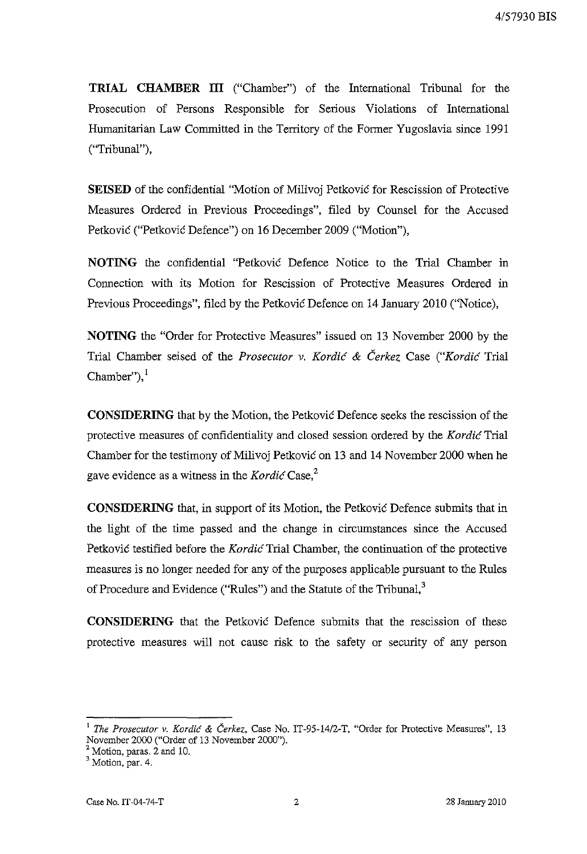**TRIAL CIJAMBER ill** ("Chamber") of the International Tribunal for the Prosecution of Persons Responsible for Serious Violations of International Humanitarian Law Committed in the Territory of the Former Yugoslavia since 1991 ("Tribunal"),

**SEISED** of the confidential ''Motion of Milivoj Petkovic for Rescission of Protective Measures Ordered in Previous Proceedings", filed by Counsel for the Accused Petkovic ("Petkovic Defence") on 16 December 2009 ("Motion"),

**NOTING** the confidential "Petkovic Defence Notice to the Trial Chamber in Connection with its Motion for Rescission of Protective Measures Ordered m Previous Proceedings", filed by the Petkovic Defence on 14 January 2010 ("Notice),

**NOTING** the "Order for Protective Measures" issued on 13 November 2000 by the Trial Chamber seised of the *Prosecutor* v. *Kordic* & *Cerkez* Case *("Kordic* Trial Chamber" $)$ ,

**CONSIDERING** that by the Motion, the Petkovic Defence seeks the rescission of the protective measures of confidentiality and closed session ordered by the *Kordic* Trial Chamber for the testimony of Milivoj Petkovic on 13 and 14 November 2000 when he gave evidence as a witness in the *Kordic* Case,<sup>2</sup>

**CONSIDERING** that, in support of its Motion, the Petkovic Defence submits that in the light of the time passed and the change in circumstances since the Accused Petkovic testified before the *Kordic* Trial Chamber, the continuation of the protective measures is no longer needed for any of the purposes applicable pursuant to the Rules of Procedure and Evidence ("Rules") and the Statute of the Tribunal,<sup>3</sup>

**CONSIDERING** that the Petkovic Defence submits that the rescission of these protective measures will not cause risk to the safety or security of any person

<sup>1</sup>*The Prosecutor* v. *Kordic* & *Cerkez,* Case No. IT-95-14/2-T, "Order for Protective Measures", 13 November 2000 ("Order of 13 November 2000").

 $\frac{2}{1}$  Motion, paras. 2 and 10.

<sup>&</sup>lt;sup>3</sup> Motion, par. 4.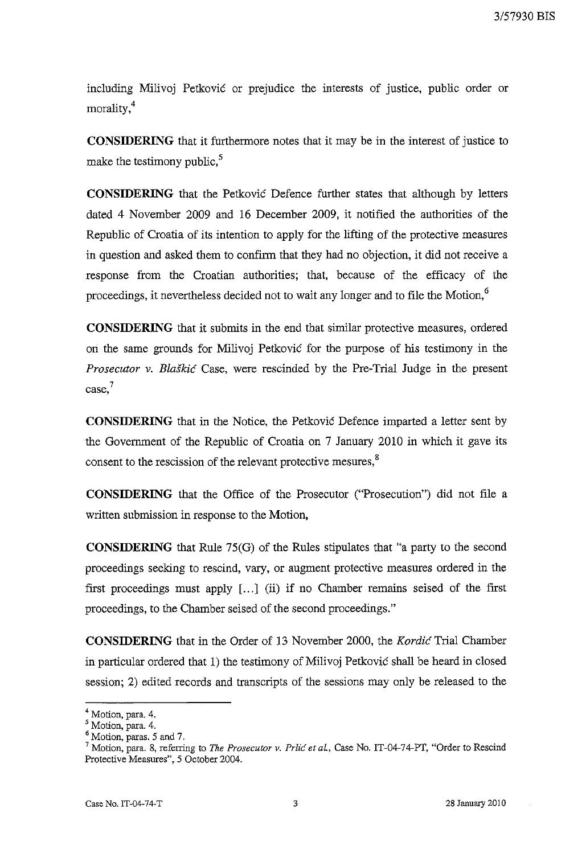including Milivoj Petkovic or prejudice the interests of justice, public order or morality,4

**CONSIDERING** that it furthermore notes that it may be in the interest of justice to make the testimony public.<sup>5</sup>

**CONSIDERING** that the Petkovic Defence further states that although by letters dated 4 November 2009 and 16 December 2009, it notified the authorities of the Republic of Croatia of its intention to apply for the lifting of the protective measures in question and asked them to confirm that they had no objection, it did not receive a response from the Croatian authorities; that, because of the efficacy of the proceedings, it nevertheless decided not to wait any longer and to file the Motion,<sup>6</sup>

**CONSIDERING** that it submits in the end that similar protective measures, ordered on the same grounds for Milivoj Petkovic for the purpose of his testimony in the *Prosecutor v. Blaškić* Case, were rescinded by the Pre-Trial Judge in the present **case,?** 

**CONSIDERING** that in the Notice, the Petkovic Defence imparted a letter sent by the Government of the Republic of Croatia on 7 January 2010 in which it gave its consent to the rescission of the relevant protective mesures,<sup>8</sup>

**CONSIDERING** that the Office of the Prosecutor ("Prosecution") did not file a written submission in response to the Motion,

**CONSIDERING** that Rule 75(G) of the Rules stipulates that "a party to the second proceedings seeking to rescind, vary, or augment protective measures ordered in the first proceedings must apply [...] (ii) if no Chamber remains seised of the first proceedings, to the Chamber seised of the second proceedings."

**CONSIDERING** that in the Order of 13 November 2000, the *Kordic* Trial Chamber in particular ordered that 1) the testimony of Milivoj Petkovic shall be heard in closed session; 2) edited records and transcripts of the sessions may only be released to the

<sup>4</sup> Motion, para. 4.

<sup>5</sup> Motion, para. 4.

<sup>6</sup> Motion, paras. 5 and 7.

<sup>7</sup> Motion, para. 8, referring to *The Prosecutor v. Pr/ic et aL,* Case No. IT-04-74-PT, "Order to Rescind Protective Measures", 5 October 2004.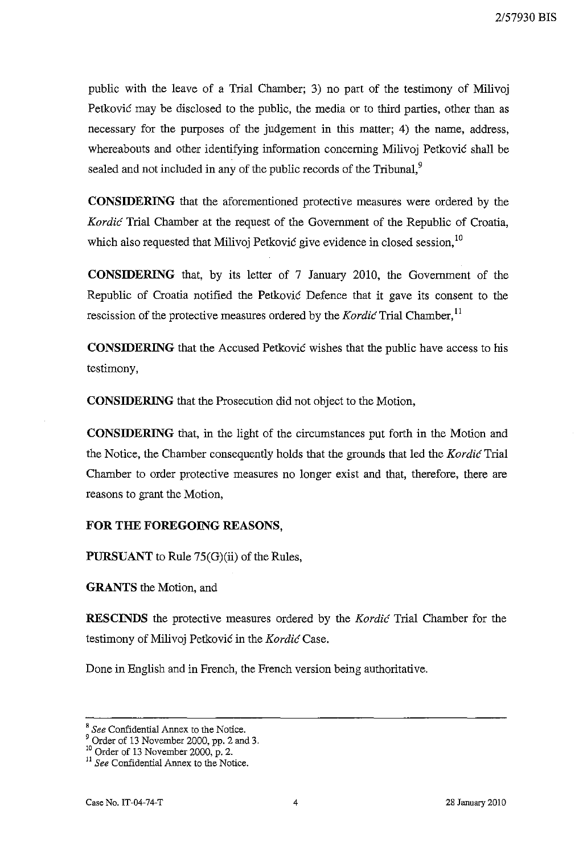public with the leave of a Trial Chamber; 3) no part of the testimony of Milivoj Petkovic may be disclosed to the public, the media or to third parties, other than as necessary for the purposes of the judgement in this matter; 4) the name, address, whereabouts and other identifying information concerning Milivoj Petkovic shall be sealed and not included in any of the public records of the Tribunal, $9$ 

**CONSIDERING** that the aforementioned protective measures were ordered by the Kordic Trial Chamber at the request of the Government of the Republic of Croatia, which also requested that Milivoj Petković give evidence in closed session,  $10$ 

**CONSIDERING** that, by its letter of 7 January 2010, the Government of the Republic of Croatia notified the Petkovic Defence that it gave its consent to the rescission of the protective measures ordered by the Kordic Trial Chamber,<sup>11</sup>

**CONSIDERING** that the Accused Petkovic wishes that the public have access to his testimony,

**CONSIDERING** that the Prosecution did not object to the Motion,

**CONSIDERING** that, in the light of the circumstances put forth in the Motion and the Notice, the Chamber consequently holds that the grounds that led the Kordic Trial Chamber to order protective measures no longer exist and that, therefore, there are reasons to grant the Motion,

#### **FOR THE FOREGOING REASONS,**

**PURSUANT** to Rule 75(G)(ii) of the Rules,

**GRANTS** the Motion, and

**RESCINDS** the protective measures ordered by the Kordic Trial Chamber for the testimony of Milivoj Petković in the Kordić Case.

Done in English and in French, the French version being authoritative.

<sup>8</sup>*See* Confidential Annex to the Notice.

<sup>9</sup> Order of 13 November 2000, pp. 2 and 3.

<sup>10</sup> Order of 13 November 2000, p. 2.

<sup>&</sup>lt;sup>11</sup> See Confidential Annex to the Notice.